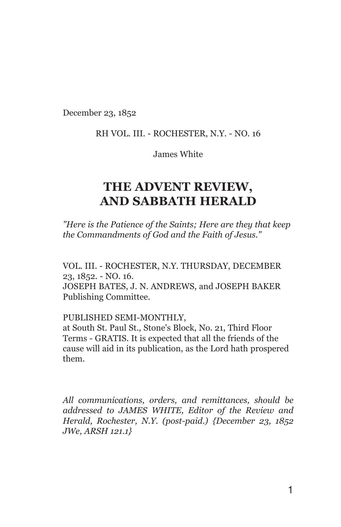December 23, 1852

#### RH VOL. III. - ROCHESTER, N.Y. - NO. 16

James White

# THE ADVENT REVIEW, AND SABBATH HERALD

"Here is the Patience of the Saints; Here are they that keep the Commandments of God and the Faith of Jesus."

VOL. III. - ROCHESTER, N.Y. THURSDAY, DECEMBER 23, 1852. - NO. 16. JOSEPH BATES, J. N. ANDREWS, and JOSEPH BAKER Publishing Committee.

PUBLISHED SEMI-MONTHLY,

at South St. Paul St., Stone's Block, No. 21, Third Floor Terms - GRATIS. It is expected that all the friends of the cause will aid in its publication, as the Lord hath prospered them.

All communications, orders, and remittances, should be addressed to JAMES WHITE, Editor of the Review and Herald, Rochester, N.Y. (post-paid.) {December 23, 1852 JWe, ARSH 121.1}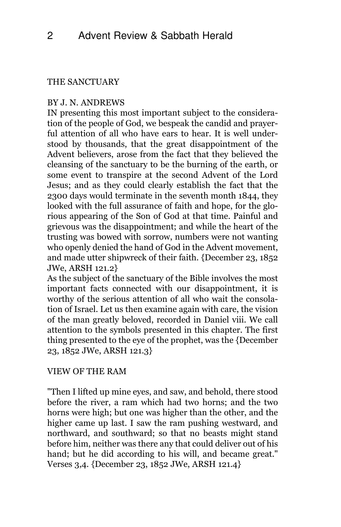#### THE SANCTUARY

## BY J. N. ANDREWS

IN presenting this most important subject to the consideration of the people of God, we bespeak the candid and prayerful attention of all who have ears to hear. It is well understood by thousands, that the great disappointment of the Advent believers, arose from the fact that they believed the cleansing of the sanctuary to be the burning of the earth, or some event to transpire at the second Advent of the Lord Jesus; and as they could clearly establish the fact that the 2300 days would terminate in the seventh month 1844, they looked with the full assurance of faith and hope, for the glorious appearing of the Son of God at that time. Painful and grievous was the disappointment; and while the heart of the trusting was bowed with sorrow, numbers were not wanting who openly denied the hand of God in the Advent movement, and made utter shipwreck of their faith. {December 23, 1852 JWe, ARSH 121.2}

As the subject of the sanctuary of the Bible involves the most important facts connected with our disappointment, it is worthy of the serious attention of all who wait the consolation of Israel. Let us then examine again with care, the vision of the man greatly beloved, recorded in Daniel viii. We call attention to the symbols presented in this chapter. The first thing presented to the eye of the prophet, was the {December 23, 1852 JWe, ARSH 121.3}

## VIEW OF THE RAM

"Then I lifted up mine eyes, and saw, and behold, there stood before the river, a ram which had two horns; and the two horns were high; but one was higher than the other, and the higher came up last. I saw the ram pushing westward, and northward, and southward; so that no beasts might stand before him, neither was there any that could deliver out of his hand; but he did according to his will, and became great." Verses 3,4. {December 23, 1852 JWe, ARSH 121.4}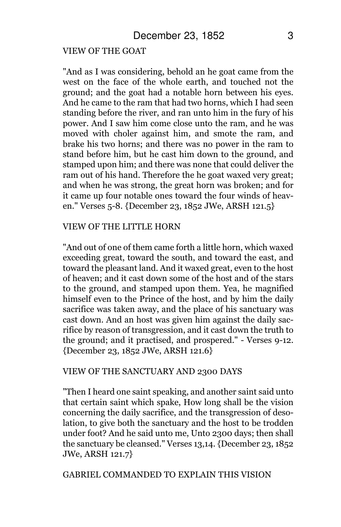#### VIEW OF THE GOAT

"And as I was considering, behold an he goat came from the west on the face of the whole earth, and touched not the ground; and the goat had a notable horn between his eyes. And he came to the ram that had two horns, which I had seen standing before the river, and ran unto him in the fury of his power. And I saw him come close unto the ram, and he was moved with choler against him, and smote the ram, and brake his two horns; and there was no power in the ram to stand before him, but he cast him down to the ground, and stamped upon him; and there was none that could deliver the ram out of his hand. Therefore the he goat waxed very great; and when he was strong, the great horn was broken; and for it came up four notable ones toward the four winds of heaven." Verses 5-8. {December 23, 1852 JWe, ARSH 121.5}

#### VIEW OF THE LITTLE HORN

"And out of one of them came forth a little horn, which waxed exceeding great, toward the south, and toward the east, and toward the pleasant land. And it waxed great, even to the host of heaven; and it cast down some of the host and of the stars to the ground, and stamped upon them. Yea, he magnified himself even to the Prince of the host, and by him the daily sacrifice was taken away, and the place of his sanctuary was cast down. And an host was given him against the daily sacrifice by reason of transgression, and it cast down the truth to the ground; and it practised, and prospered." - Verses 9-12. {December 23, 1852 JWe, ARSH 121.6}

#### VIEW OF THE SANCTUARY AND 2300 DAYS

"Then I heard one saint speaking, and another saint said unto that certain saint which spake, How long shall be the vision concerning the daily sacrifice, and the transgression of desolation, to give both the sanctuary and the host to be trodden under foot? And he said unto me, Unto 2300 days; then shall the sanctuary be cleansed." Verses 13,14. {December 23, 1852 JWe, ARSH 121.7}

#### GABRIEL COMMANDED TO EXPLAIN THIS VISION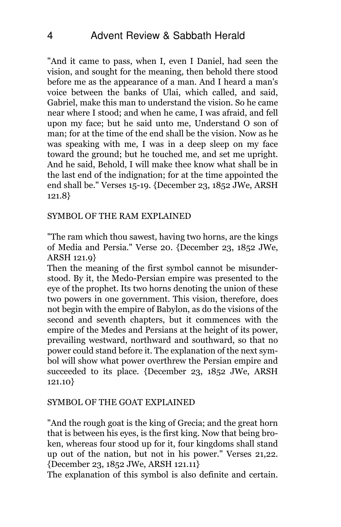"And it came to pass, when I, even I Daniel, had seen the vision, and sought for the meaning, then behold there stood before me as the appearance of a man. And I heard a man's voice between the banks of Ulai, which called, and said, Gabriel, make this man to understand the vision. So he came near where I stood; and when he came, I was afraid, and fell upon my face; but he said unto me, Understand O son of man; for at the time of the end shall be the vision. Now as he was speaking with me, I was in a deep sleep on my face toward the ground; but he touched me, and set me upright. And he said, Behold, I will make thee know what shall be in the last end of the indignation; for at the time appointed the end shall be." Verses 15-19. {December 23, 1852 JWe, ARSH 121.8}

## SYMBOL OF THE RAM EXPLAINED

"The ram which thou sawest, having two horns, are the kings of Media and Persia." Verse 20. {December 23, 1852 JWe, ARSH 121.9}

Then the meaning of the first symbol cannot be misunderstood. By it, the Medo-Persian empire was presented to the eye of the prophet. Its two horns denoting the union of these two powers in one government. This vision, therefore, does not begin with the empire of Babylon, as do the visions of the second and seventh chapters, but it commences with the empire of the Medes and Persians at the height of its power, prevailing westward, northward and southward, so that no power could stand before it. The explanation of the next symbol will show what power overthrew the Persian empire and succeeded to its place. {December 23, 1852 JWe, ARSH 121.10}

#### SYMBOL OF THE GOAT EXPLAINED

"And the rough goat is the king of Grecia; and the great horn that is between his eyes, is the first king. Now that being broken, whereas four stood up for it, four kingdoms shall stand up out of the nation, but not in his power." Verses 21,22. {December 23, 1852 JWe, ARSH 121.11}

The explanation of this symbol is also definite and certain.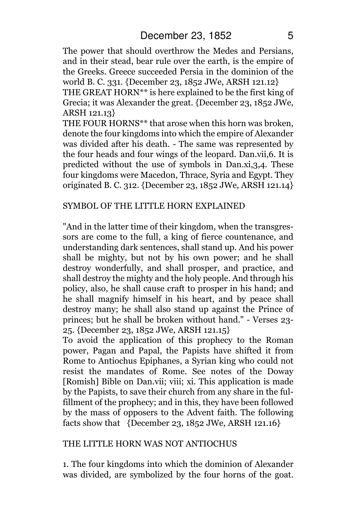The power that should overthrow the Medes and Persians, and in their stead, bear rule over the earth, is the empire of the Greeks. Greece succeeded Persia in the dominion of the world B. C. 331. {December 23, 1852 JWe, ARSH 121.12}

THE GREAT HORN\*\* is here explained to be the first king of Grecia; it was Alexander the great. {December 23, 1852 JWe, ARSH 121.13}

THE FOUR HORNS\*\* that arose when this horn was broken, denote the four kingdoms into which the empire of Alexander was divided after his death. - The same was represented by the four heads and four wings of the leopard. Dan.vii,6. It is predicted without the use of symbols in Dan.xi,3,4. These four kingdoms were Macedon, Thrace, Syria and Egypt. They originated B. C. 312. {December 23, 1852 JWe, ARSH 121.14}

#### SYMBOL OF THE LITTLE HORN EXPLAINED

"And in the latter time of their kingdom, when the transgressors are come to the full, a king of fierce countenance, and understanding dark sentences, shall stand up. And his power shall be mighty, but not by his own power; and he shall destroy wonderfully, and shall prosper, and practice, and shall destroy the mighty and the holy people. And through his policy, also, he shall cause craft to prosper in his hand; and he shall magnify himself in his heart, and by peace shall destroy many; he shall also stand up against the Prince of princes; but he shall be broken without hand." - Verses 23- 25. {December 23, 1852 JWe, ARSH 121.15}

To avoid the application of this prophecy to the Roman power, Pagan and Papal, the Papists have shifted it from Rome to Antiochus Epiphanes, a Syrian king who could not resist the mandates of Rome. See notes of the Doway [Romish] Bible on Dan.vii; viii; xi. This application is made by the Papists, to save their church from any share in the fulfillment of the prophecy; and in this, they have been followed by the mass of opposers to the Advent faith. The following facts show that {December 23, 1852 JWe, ARSH 121.16}

#### THE LITTLE HORN WAS NOT ANTIOCHUS

1. The four kingdoms into which the dominion of Alexander was divided, are symbolized by the four horns of the goat.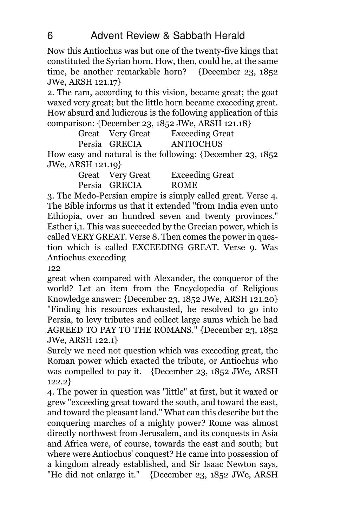Now this Antiochus was but one of the twenty-five kings that constituted the Syrian horn. How, then, could he, at the same time, be another remarkable horn? {December 23, 1852 JWe, ARSH 121.17}

2. The ram, according to this vision, became great; the goat waxed very great; but the little horn became exceeding great. How absurd and ludicrous is the following application of this comparison: {December 23, 1852 JWe, ARSH 121.18}

Great Very Great Exceeding Great Persia GRECIA ANTIOCHUS

How easy and natural is the following: {December 23, 1852 JWe, ARSH 121.19}

> Great Very Great Exceeding Great Persia GRECIA ROME

3. The Medo-Persian empire is simply called great. Verse 4. The Bible informs us that it extended "from India even unto Ethiopia, over an hundred seven and twenty provinces." Esther i,1. This was succeeded by the Grecian power, which is called VERY GREAT. Verse 8. Then comes the power in question which is called EXCEEDING GREAT. Verse 9. Was Antiochus exceeding

122

great when compared with Alexander, the conqueror of the world? Let an item from the Encyclopedia of Religious Knowledge answer: {December 23, 1852 JWe, ARSH 121.20} "Finding his resources exhausted, he resolved to go into Persia, to levy tributes and collect large sums which he had AGREED TO PAY TO THE ROMANS." {December 23, 1852 JWe, ARSH 122.1}

Surely we need not question which was exceeding great, the Roman power which exacted the tribute, or Antiochus who was compelled to pay it. {December 23, 1852 JWe, ARSH 122.2}

4. The power in question was "little" at first, but it waxed or grew "exceeding great toward the south, and toward the east, and toward the pleasant land." What can this describe but the conquering marches of a mighty power? Rome was almost directly northwest from Jerusalem, and its conquests in Asia and Africa were, of course, towards the east and south; but where were Antiochus' conquest? He came into possession of a kingdom already established, and Sir Isaac Newton says, "He did not enlarge it." {December 23, 1852 JWe, ARSH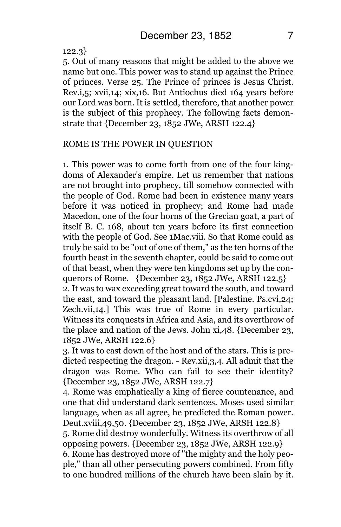122.3}

5. Out of many reasons that might be added to the above we name but one. This power was to stand up against the Prince of princes. Verse 25. The Prince of princes is Jesus Christ. Rev.i,5; xvii,14; xix,16. But Antiochus died 164 years before our Lord was born. It is settled, therefore, that another power is the subject of this prophecy. The following facts demonstrate that  ${December 23, 1852}$  JWe, ARSH  $122.4$ }

#### ROME IS THE POWER IN QUESTION

1. This power was to come forth from one of the four kingdoms of Alexander's empire. Let us remember that nations are not brought into prophecy, till somehow connected with the people of God. Rome had been in existence many years before it was noticed in prophecy; and Rome had made Macedon, one of the four horns of the Grecian goat, a part of itself B. C. 168, about ten years before its first connection with the people of God. See 1Mac.viii. So that Rome could as truly be said to be "out of one of them," as the ten horns of the fourth beast in the seventh chapter, could be said to come out of that beast, when they were ten kingdoms set up by the conquerors of Rome. {December 23,  $1852$  JWe, ARSH 122.5} 2. It was to wax exceeding great toward the south, and toward the east, and toward the pleasant land. [Palestine. Ps.cvi,24; Zech.vii,14.] This was true of Rome in every particular. Witness its conquests in Africa and Asia, and its overthrow of

the place and nation of the Jews. John xi,48. {December 23, 1852 JWe, ARSH 122.6} 3. It was to cast down of the host and of the stars. This is predicted respecting the dragon. - Rev.xii, 3, 4. All admit that the

dragon was Rome. Who can fail to see their identity? {December 23, 1852 JWe, ARSH 122.7}

4. Rome was emphatically a king of fierce countenance, and one that did understand dark sentences. Moses used similar language, when as all agree, he predicted the Roman power. Deut.xviii,49,50. {December 23, 1852 JWe, ARSH 122.8}

5. Rome did destroy wonderfully. Witness its overthrow of all opposing powers. {December 23, 1852 JWe, ARSH 122.9}

6. Rome has destroyed more of "the mighty and the holy people," than all other persecuting powers combined. From fifty to one hundred millions of the church have been slain by it.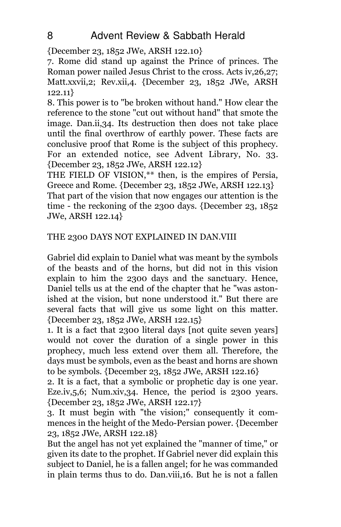{December 23, 1852 JWe, ARSH 122.10}

7. Rome did stand up against the Prince of princes. The Roman power nailed Jesus Christ to the cross. Acts iv,26,27; Matt.xxvii,2; Rev.xii,4. {December 23, 1852 JWe, ARSH 122.11}

8. This power is to "be broken without hand." How clear the reference to the stone "cut out without hand" that smote the image. Dan.ii,34. Its destruction then does not take place until the final overthrow of earthly power. These facts are conclusive proof that Rome is the subject of this prophecy. For an extended notice, see Advent Library, No. 33. {December 23, 1852 JWe, ARSH 122.12}

THE FIELD OF VISION,\*\* then, is the empires of Persia, Greece and Rome. {December 23, 1852 JWe, ARSH 122.13} That part of the vision that now engages our attention is the time - the reckoning of the 2300 days. {December 23, 1852

JWe, ARSH 122.14}

## THE 2300 DAYS NOT EXPLAINED IN DAN.VIII

Gabriel did explain to Daniel what was meant by the symbols of the beasts and of the horns, but did not in this vision explain to him the 2300 days and the sanctuary. Hence, Daniel tells us at the end of the chapter that he "was astonished at the vision, but none understood it." But there are several facts that will give us some light on this matter. {December 23, 1852 JWe, ARSH 122.15}

1. It is a fact that 2300 literal days [not quite seven years] would not cover the duration of a single power in this prophecy, much less extend over them all. Therefore, the days must be symbols, even as the beast and horns are shown to be symbols. {December 23, 1852 JWe, ARSH 122.16}

2. It is a fact, that a symbolic or prophetic day is one year. Eze.iv, 5, 6; Num.xiv, 34. Hence, the period is 2300 years. {December 23, 1852 JWe, ARSH 122.17}

3. It must begin with "the vision;" consequently it commences in the height of the Medo-Persian power. {December 23, 1852 JWe, ARSH 122.18}

But the angel has not yet explained the "manner of time," or given its date to the prophet. If Gabriel never did explain this subject to Daniel, he is a fallen angel; for he was commanded in plain terms thus to do. Dan.viii,16. But he is not a fallen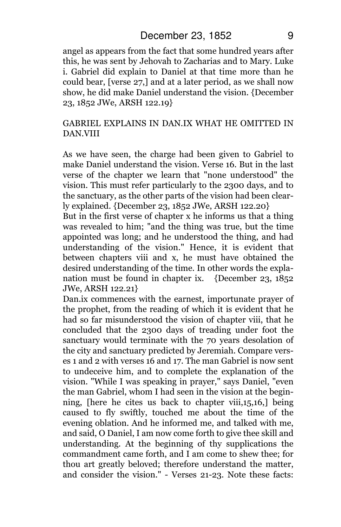angel as appears from the fact that some hundred years after this, he was sent by Jehovah to Zacharias and to Mary. Luke i. Gabriel did explain to Daniel at that time more than he could bear, [verse 27,] and at a later period, as we shall now show, he did make Daniel understand the vision. {December 23, 1852 JWe, ARSH 122.19}

## GABRIEL EXPLAINS IN DAN.IX WHAT HE OMITTED IN DAN.VIII

As we have seen, the charge had been given to Gabriel to make Daniel understand the vision. Verse 16. But in the last verse of the chapter we learn that "none understood" the vision. This must refer particularly to the 2300 days, and to the sanctuary, as the other parts of the vision had been clearly explained. {December 23, 1852 JWe, ARSH 122.20}

But in the first verse of chapter x he informs us that a thing was revealed to him; "and the thing was true, but the time appointed was long; and he understood the thing, and had understanding of the vision." Hence, it is evident that between chapters viii and x, he must have obtained the desired understanding of the time. In other words the explanation must be found in chapter ix. {December 23, 1852 JWe, ARSH 122.21}

Dan.ix commences with the earnest, importunate prayer of the prophet, from the reading of which it is evident that he had so far misunderstood the vision of chapter viii, that he concluded that the 2300 days of treading under foot the sanctuary would terminate with the 70 years desolation of the city and sanctuary predicted by Jeremiah. Compare verses 1 and 2 with verses 16 and 17. The man Gabriel is now sent to undeceive him, and to complete the explanation of the vision. "While I was speaking in prayer," says Daniel, "even the man Gabriel, whom I had seen in the vision at the beginning, [here he cites us back to chapter viii,15,16,] being caused to fly swiftly, touched me about the time of the evening oblation. And he informed me, and talked with me, and said, O Daniel, I am now come forth to give thee skill and understanding. At the beginning of thy supplications the commandment came forth, and I am come to shew thee; for thou art greatly beloved; therefore understand the matter, and consider the vision." - Verses 21-23. Note these facts: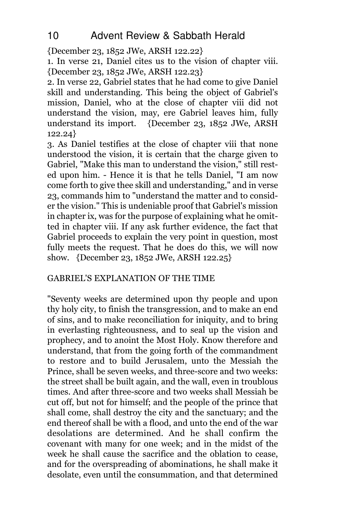{December 23, 1852 JWe, ARSH 122.22}

1. In verse 21, Daniel cites us to the vision of chapter viii. {December 23, 1852 JWe, ARSH 122.23}

2. In verse 22, Gabriel states that he had come to give Daniel skill and understanding. This being the object of Gabriel's mission, Daniel, who at the close of chapter viii did not understand the vision, may, ere Gabriel leaves him, fully understand its import. {December 23, 1852 JWe, ARSH 122.24}

3. As Daniel testifies at the close of chapter viii that none understood the vision, it is certain that the charge given to Gabriel, "Make this man to understand the vision," still rested upon him. - Hence it is that he tells Daniel, "I am now come forth to give thee skill and understanding," and in verse 23, commands him to "understand the matter and to consider the vision." This is undeniable proof that Gabriel's mission in chapter ix, was for the purpose of explaining what he omitted in chapter viii. If any ask further evidence, the fact that Gabriel proceeds to explain the very point in question, most fully meets the request. That he does do this, we will now show. {December 23, 1852 JWe, ARSH 122.25}

## GABRIEL'S EXPLANATION OF THE TIME

"Seventy weeks are determined upon thy people and upon thy holy city, to finish the transgression, and to make an end of sins, and to make reconciliation for iniquity, and to bring in everlasting righteousness, and to seal up the vision and prophecy, and to anoint the Most Holy. Know therefore and understand, that from the going forth of the commandment to restore and to build Jerusalem, unto the Messiah the Prince, shall be seven weeks, and three-score and two weeks: the street shall be built again, and the wall, even in troublous times. And after three-score and two weeks shall Messiah be cut off, but not for himself; and the people of the prince that shall come, shall destroy the city and the sanctuary; and the end thereof shall be with a flood, and unto the end of the war desolations are determined. And he shall confirm the covenant with many for one week; and in the midst of the week he shall cause the sacrifice and the oblation to cease, and for the overspreading of abominations, he shall make it desolate, even until the consummation, and that determined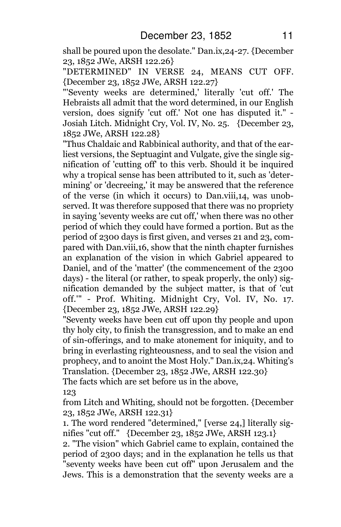shall be poured upon the desolate." Dan.ix,24-27. {December 23, 1852 JWe, ARSH 122.26}

"DETERMINED" IN VERSE 24, MEANS CUT OFF. {December 23, 1852 JWe, ARSH 122.27}

"'Seventy weeks are determined,' literally 'cut off.' The Hebraists all admit that the word determined, in our English version, does signify 'cut off.' Not one has disputed it." - Josiah Litch. Midnight Cry, Vol. IV, No. 25. {December 23, 1852 JWe, ARSH 122.28}

"Thus Chaldaic and Rabbinical authority, and that of the earliest versions, the Septuagint and Vulgate, give the single signification of 'cutting off' to this verb. Should it be inquired why a tropical sense has been attributed to it, such as 'determining' or 'decreeing,' it may be answered that the reference of the verse (in which it occurs) to Dan.viii,14, was unobserved. It was therefore supposed that there was no propriety in saying 'seventy weeks are cut off,' when there was no other period of which they could have formed a portion. But as the period of 2300 days is first given, and verses 21 and 23, compared with Dan.viii,16, show that the ninth chapter furnishes an explanation of the vision in which Gabriel appeared to Daniel, and of the 'matter' (the commencement of the 2300 days) - the literal (or rather, to speak properly, the only) signification demanded by the subject matter, is that of 'cut off.'" - Prof. Whiting. Midnight Cry, Vol. IV, No. 17. {December 23, 1852 JWe, ARSH 122.29}

"Seventy weeks have been cut off upon thy people and upon thy holy city, to finish the transgression, and to make an end of sin-offerings, and to make atonement for iniquity, and to bring in everlasting righteousness, and to seal the vision and prophecy, and to anoint the Most Holy." Dan.ix,24. Whiting's Translation. {December 23, 1852 JWe, ARSH 122.30}

The facts which are set before us in the above,

123

from Litch and Whiting, should not be forgotten. {December 23, 1852 JWe, ARSH 122.31}

1. The word rendered "determined," [verse 24,] literally signifies "cut off." {December 23, 1852 JWe, ARSH 123.1}

2. "The vision" which Gabriel came to explain, contained the period of 2300 days; and in the explanation he tells us that "seventy weeks have been cut off" upon Jerusalem and the Jews. This is a demonstration that the seventy weeks are a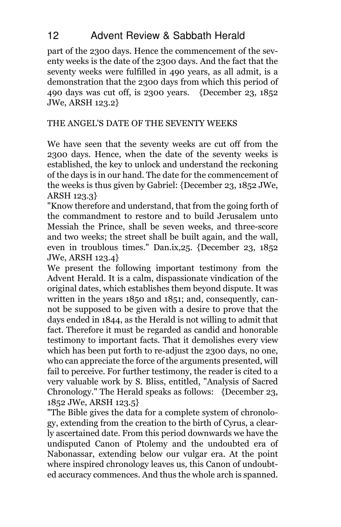## 12 Advent Review & Sabbath Herald

part of the 2300 days. Hence the commencement of the seventy weeks is the date of the 2300 days. And the fact that the seventy weeks were fulfilled in 490 years, as all admit, is a demonstration that the 2300 days from which this period of 490 days was cut off, is 2300 years. {December 23, 1852 JWe, ARSH 123.2}

## THE ANGEL'S DATE OF THE SEVENTY WEEKS

We have seen that the seventy weeks are cut off from the 2300 days. Hence, when the date of the seventy weeks is established, the key to unlock and understand the reckoning of the days is in our hand. The date for the commencement of the weeks is thus given by Gabriel: {December 23, 1852 JWe, ARSH 123.3}

"Know therefore and understand, that from the going forth of the commandment to restore and to build Jerusalem unto Messiah the Prince, shall be seven weeks, and three-score and two weeks; the street shall be built again, and the wall, even in troublous times." Dan.ix,25. {December 23, 1852 JWe, ARSH 123.4}

We present the following important testimony from the Advent Herald. It is a calm, dispassionate vindication of the original dates, which establishes them beyond dispute. It was written in the years 1850 and 1851; and, consequently, cannot be supposed to be given with a desire to prove that the days ended in 1844, as the Herald is not willing to admit that fact. Therefore it must be regarded as candid and honorable testimony to important facts. That it demolishes every view which has been put forth to re-adjust the 2300 days, no one, who can appreciate the force of the arguments presented, will fail to perceive. For further testimony, the reader is cited to a very valuable work by S. Bliss, entitled, "Analysis of Sacred Chronology." The Herald speaks as follows: {December 23, 1852 JWe, ARSH 123.5}

"The Bible gives the data for a complete system of chronology, extending from the creation to the birth of Cyrus, a clearly ascertained date. From this period downwards we have the undisputed Canon of Ptolemy and the undoubted era of Nabonassar, extending below our vulgar era. At the point where inspired chronology leaves us, this Canon of undoubted accuracy commences. And thus the whole arch is spanned.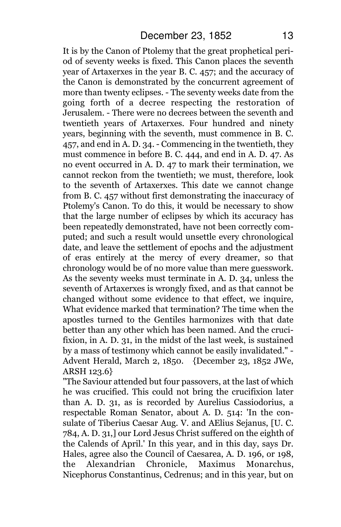It is by the Canon of Ptolemy that the great prophetical period of seventy weeks is fixed. This Canon places the seventh year of Artaxerxes in the year B. C. 457; and the accuracy of the Canon is demonstrated by the concurrent agreement of more than twenty eclipses. - The seventy weeks date from the going forth of a decree respecting the restoration of Jerusalem. - There were no decrees between the seventh and twentieth years of Artaxerxes. Four hundred and ninety years, beginning with the seventh, must commence in B. C. 457, and end in A. D. 34. - Commencing in the twentieth, they must commence in before B. C. 444, and end in A. D. 47. As no event occurred in A. D. 47 to mark their termination, we cannot reckon from the twentieth; we must, therefore, look to the seventh of Artaxerxes. This date we cannot change from B. C. 457 without first demonstrating the inaccuracy of Ptolemy's Canon. To do this, it would be necessary to show that the large number of eclipses by which its accuracy has been repeatedly demonstrated, have not been correctly computed; and such a result would unsettle every chronological date, and leave the settlement of epochs and the adjustment of eras entirely at the mercy of every dreamer, so that chronology would be of no more value than mere guesswork. As the seventy weeks must terminate in A. D. 34, unless the seventh of Artaxerxes is wrongly fixed, and as that cannot be changed without some evidence to that effect, we inquire, What evidence marked that termination? The time when the apostles turned to the Gentiles harmonizes with that date better than any other which has been named. And the crucifixion, in A. D. 31, in the midst of the last week, is sustained by a mass of testimony which cannot be easily invalidated." - Advent Herald, March 2, 1850. {December 23, 1852 JWe, ARSH 123.6}

"The Saviour attended but four passovers, at the last of which he was crucified. This could not bring the crucifixion later than A. D. 31, as is recorded by Aurelius Cassiodorius, a respectable Roman Senator, about A. D. 514: 'In the consulate of Tiberius Caesar Aug. V. and AElius Sejanus, [U. C. 784, A. D. 31,] our Lord Jesus Christ suffered on the eighth of the Calends of April.' In this year, and in this day, says Dr. Hales, agree also the Council of Caesarea, A. D. 196, or 198, the Alexandrian Chronicle, Maximus Monarchus, Nicephorus Constantinus, Cedrenus; and in this year, but on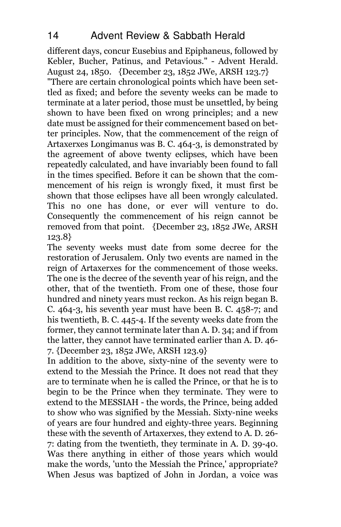different days, concur Eusebius and Epiphaneus, followed by Kebler, Bucher, Patinus, and Petavious." - Advent Herald. August 24, 1850. {December 23, 1852 JWe, ARSH 123.7} "There are certain chronological points which have been settled as fixed; and before the seventy weeks can be made to terminate at a later period, those must be unsettled, by being shown to have been fixed on wrong principles; and a new date must be assigned for their commencement based on better principles. Now, that the commencement of the reign of Artaxerxes Longimanus was B. C. 464-3, is demonstrated by the agreement of above twenty eclipses, which have been repeatedly calculated, and have invariably been found to fall in the times specified. Before it can be shown that the commencement of his reign is wrongly fixed, it must first be shown that those eclipses have all been wrongly calculated. This no one has done, or ever will venture to do. Consequently the commencement of his reign cannot be removed from that point. {December 23, 1852 JWe, ARSH 123.8}

The seventy weeks must date from some decree for the restoration of Jerusalem. Only two events are named in the reign of Artaxerxes for the commencement of those weeks. The one is the decree of the seventh year of his reign, and the other, that of the twentieth. From one of these, those four hundred and ninety years must reckon. As his reign began B. C. 464-3, his seventh year must have been B. C. 458-7; and his twentieth, B. C. 445-4. If the seventy weeks date from the former, they cannot terminate later than A. D. 34; and if from the latter, they cannot have terminated earlier than A. D. 46- 7. {December 23, 1852 JWe, ARSH 123.9}

In addition to the above, sixty-nine of the seventy were to extend to the Messiah the Prince. It does not read that they are to terminate when he is called the Prince, or that he is to begin to be the Prince when they terminate. They were to extend to the MESSIAH - the words, the Prince, being added to show who was signified by the Messiah. Sixty-nine weeks of years are four hundred and eighty-three years. Beginning these with the seventh of Artaxerxes, they extend to A. D. 26- 7: dating from the twentieth, they terminate in A. D. 39-40. Was there anything in either of those years which would make the words, 'unto the Messiah the Prince,' appropriate? When Jesus was baptized of John in Jordan, a voice was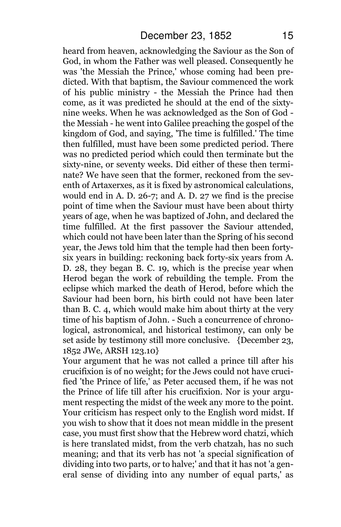heard from heaven, acknowledging the Saviour as the Son of God, in whom the Father was well pleased. Consequently he was 'the Messiah the Prince,' whose coming had been predicted. With that baptism, the Saviour commenced the work of his public ministry - the Messiah the Prince had then come, as it was predicted he should at the end of the sixtynine weeks. When he was acknowledged as the Son of God the Messiah - he went into Galilee preaching the gospel of the kingdom of God, and saying, 'The time is fulfilled.' The time then fulfilled, must have been some predicted period. There was no predicted period which could then terminate but the sixty-nine, or seventy weeks. Did either of these then terminate? We have seen that the former, reckoned from the seventh of Artaxerxes, as it is fixed by astronomical calculations, would end in A. D. 26-7; and A. D. 27 we find is the precise point of time when the Saviour must have been about thirty years of age, when he was baptized of John, and declared the time fulfilled. At the first passover the Saviour attended, which could not have been later than the Spring of his second year, the Jews told him that the temple had then been fortysix years in building: reckoning back forty-six years from A. D. 28, they began B. C. 19, which is the precise year when Herod began the work of rebuilding the temple. From the eclipse which marked the death of Herod, before which the Saviour had been born, his birth could not have been later than B. C. 4, which would make him about thirty at the very time of his baptism of John. - Such a concurrence of chronological, astronomical, and historical testimony, can only be set aside by testimony still more conclusive. {December 23, 1852 JWe, ARSH 123.10}

Your argument that he was not called a prince till after his crucifixion is of no weight; for the Jews could not have crucified 'the Prince of life,' as Peter accused them, if he was not the Prince of life till after his crucifixion. Nor is your argument respecting the midst of the week any more to the point. Your criticism has respect only to the English word midst. If you wish to show that it does not mean middle in the present case, you must first show that the Hebrew word chatzi, which is here translated midst, from the verb chatzah, has no such meaning; and that its verb has not 'a special signification of dividing into two parts, or to halve;' and that it has not 'a general sense of dividing into any number of equal parts,' as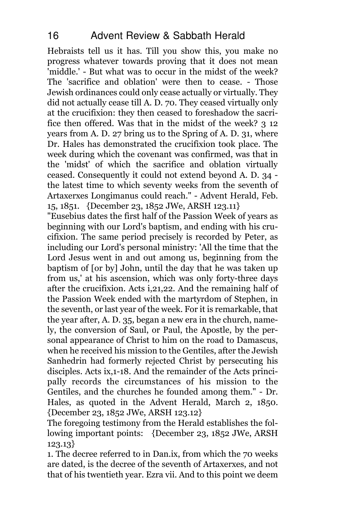Hebraists tell us it has. Till you show this, you make no progress whatever towards proving that it does not mean 'middle.' - But what was to occur in the midst of the week? The 'sacrifice and oblation' were then to cease. - Those Jewish ordinances could only cease actually or virtually. They did not actually cease till A. D. 70. They ceased virtually only at the crucifixion: they then ceased to foreshadow the sacrifice then offered. Was that in the midst of the week? 3 12 years from A. D. 27 bring us to the Spring of A. D. 31, where Dr. Hales has demonstrated the crucifixion took place. The week during which the covenant was confirmed, was that in the 'midst' of which the sacrifice and oblation virtually ceased. Consequently it could not extend beyond A. D. 34 the latest time to which seventy weeks from the seventh of Artaxerxes Longimanus could reach." - Advent Herald, Feb. 15, 1851. {December 23, 1852 JWe, ARSH 123.11}

"Eusebius dates the first half of the Passion Week of years as beginning with our Lord's baptism, and ending with his crucifixion. The same period precisely is recorded by Peter, as including our Lord's personal ministry: 'All the time that the Lord Jesus went in and out among us, beginning from the baptism of [or by] John, until the day that he was taken up from us,' at his ascension, which was only forty-three days after the crucifixion. Acts i,21,22. And the remaining half of the Passion Week ended with the martyrdom of Stephen, in the seventh, or last year of the week. For it is remarkable, that the year after, A. D. 35, began a new era in the church, namely, the conversion of Saul, or Paul, the Apostle, by the personal appearance of Christ to him on the road to Damascus, when he received his mission to the Gentiles, after the Jewish Sanhedrin had formerly rejected Christ by persecuting his disciples. Acts ix,1-18. And the remainder of the Acts principally records the circumstances of his mission to the Gentiles, and the churches he founded among them." - Dr. Hales, as quoted in the Advent Herald, March 2, 1850. {December 23, 1852 JWe, ARSH 123.12}

The foregoing testimony from the Herald establishes the following important points: {December 23, 1852 JWe, ARSH 123.13}

1. The decree referred to in Dan.ix, from which the 70 weeks are dated, is the decree of the seventh of Artaxerxes, and not that of his twentieth year. Ezra vii. And to this point we deem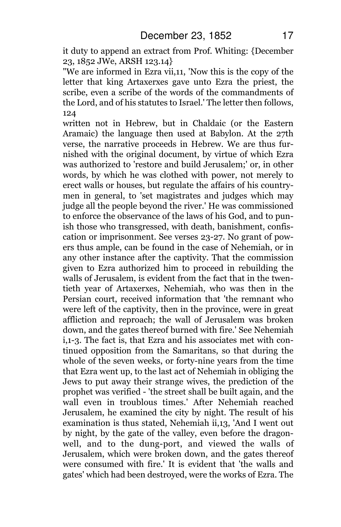it duty to append an extract from Prof. Whiting: {December 23, 1852 JWe, ARSH 123.14}

"We are informed in Ezra vii,11, 'Now this is the copy of the letter that king Artaxerxes gave unto Ezra the priest, the scribe, even a scribe of the words of the commandments of the Lord, and of his statutes to Israel.' The letter then follows, 124

written not in Hebrew, but in Chaldaic (or the Eastern Aramaic) the language then used at Babylon. At the 27th verse, the narrative proceeds in Hebrew. We are thus furnished with the original document, by virtue of which Ezra was authorized to 'restore and build Jerusalem;' or, in other words, by which he was clothed with power, not merely to erect walls or houses, but regulate the affairs of his countrymen in general, to 'set magistrates and judges which may judge all the people beyond the river.' He was commissioned to enforce the observance of the laws of his God, and to punish those who transgressed, with death, banishment, confiscation or imprisonment. See verses 23-27. No grant of powers thus ample, can be found in the case of Nehemiah, or in any other instance after the captivity. That the commission given to Ezra authorized him to proceed in rebuilding the walls of Jerusalem, is evident from the fact that in the twentieth year of Artaxerxes, Nehemiah, who was then in the Persian court, received information that 'the remnant who were left of the captivity, then in the province, were in great affliction and reproach; the wall of Jerusalem was broken down, and the gates thereof burned with fire.' See Nehemiah i,1-3. The fact is, that Ezra and his associates met with continued opposition from the Samaritans, so that during the whole of the seven weeks, or forty-nine years from the time that Ezra went up, to the last act of Nehemiah in obliging the Jews to put away their strange wives, the prediction of the prophet was verified - 'the street shall be built again, and the wall even in troublous times.' After Nehemiah reached Jerusalem, he examined the city by night. The result of his examination is thus stated, Nehemiah ii,13, 'And I went out by night, by the gate of the valley, even before the dragonwell, and to the dung-port, and viewed the walls of Jerusalem, which were broken down, and the gates thereof were consumed with fire.' It is evident that 'the walls and gates' which had been destroyed, were the works of Ezra. The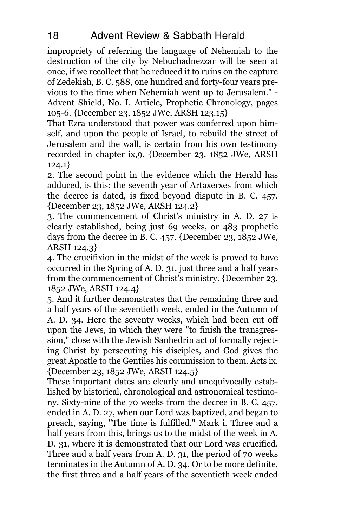impropriety of referring the language of Nehemiah to the destruction of the city by Nebuchadnezzar will be seen at once, if we recollect that he reduced it to ruins on the capture of Zedekiah, B. C. 588, one hundred and forty-four years previous to the time when Nehemiah went up to Jerusalem." - Advent Shield, No. I. Article, Prophetic Chronology, pages 105-6. {December 23, 1852 JWe, ARSH 123.15}

That Ezra understood that power was conferred upon himself, and upon the people of Israel, to rebuild the street of Jerusalem and the wall, is certain from his own testimony recorded in chapter ix,9. {December 23, 1852 JWe, ARSH 124.1}

2. The second point in the evidence which the Herald has adduced, is this: the seventh year of Artaxerxes from which the decree is dated, is fixed beyond dispute in B. C. 457. {December 23, 1852 JWe, ARSH 124.2}

3. The commencement of Christ's ministry in A. D. 27 is clearly established, being just 69 weeks, or 483 prophetic days from the decree in B. C. 457. {December 23, 1852 JWe, ARSH 124.3}

4. The crucifixion in the midst of the week is proved to have occurred in the Spring of A. D. 31, just three and a half years from the commencement of Christ's ministry. {December 23, 1852 JWe, ARSH 124.4}

5. And it further demonstrates that the remaining three and a half years of the seventieth week, ended in the Autumn of A. D. 34. Here the seventy weeks, which had been cut off upon the Jews, in which they were "to finish the transgression," close with the Jewish Sanhedrin act of formally rejecting Christ by persecuting his disciples, and God gives the great Apostle to the Gentiles his commission to them. Acts ix. {December 23, 1852 JWe, ARSH 124.5}

These important dates are clearly and unequivocally established by historical, chronological and astronomical testimony. Sixty-nine of the 70 weeks from the decree in B. C. 457, ended in A. D. 27, when our Lord was baptized, and began to preach, saying, "The time is fulfilled." Mark i. Three and a half years from this, brings us to the midst of the week in A. D. 31, where it is demonstrated that our Lord was crucified. Three and a half years from A. D. 31, the period of 70 weeks terminates in the Autumn of A. D. 34. Or to be more definite, the first three and a half years of the seventieth week ended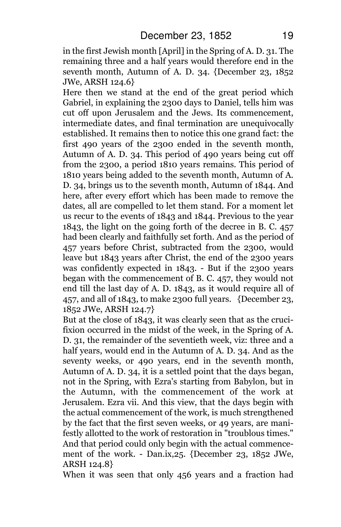in the first Jewish month [April] in the Spring of A. D. 31. The remaining three and a half years would therefore end in the seventh month, Autumn of A. D. 34. {December 23, 1852 JWe, ARSH 124.6}

Here then we stand at the end of the great period which Gabriel, in explaining the 2300 days to Daniel, tells him was cut off upon Jerusalem and the Jews. Its commencement, intermediate dates, and final termination are unequivocally established. It remains then to notice this one grand fact: the first 490 years of the 2300 ended in the seventh month, Autumn of A. D. 34. This period of 490 years being cut off from the 2300, a period 1810 years remains. This period of 1810 years being added to the seventh month, Autumn of A. D. 34, brings us to the seventh month, Autumn of 1844. And here, after every effort which has been made to remove the dates, all are compelled to let them stand. For a moment let us recur to the events of 1843 and 1844. Previous to the year 1843, the light on the going forth of the decree in B. C. 457 had been clearly and faithfully set forth. And as the period of 457 years before Christ, subtracted from the 2300, would leave but 1843 years after Christ, the end of the 2300 years was confidently expected in 1843. - But if the 2300 years began with the commencement of B. C. 457, they would not end till the last day of A. D. 1843, as it would require all of 457, and all of 1843, to make 2300 full years. {December 23, 1852 JWe, ARSH 124.7}

But at the close of 1843, it was clearly seen that as the crucifixion occurred in the midst of the week, in the Spring of A. D. 31, the remainder of the seventieth week, viz: three and a half years, would end in the Autumn of A. D. 34. And as the seventy weeks, or 490 years, end in the seventh month, Autumn of A. D. 34, it is a settled point that the days began, not in the Spring, with Ezra's starting from Babylon, but in the Autumn, with the commencement of the work at Jerusalem. Ezra vii. And this view, that the days begin with the actual commencement of the work, is much strengthened by the fact that the first seven weeks, or 49 years, are manifestly allotted to the work of restoration in "troublous times." And that period could only begin with the actual commencement of the work. - Dan.ix,25. {December 23, 1852 JWe, ARSH 124.8}

When it was seen that only 456 years and a fraction had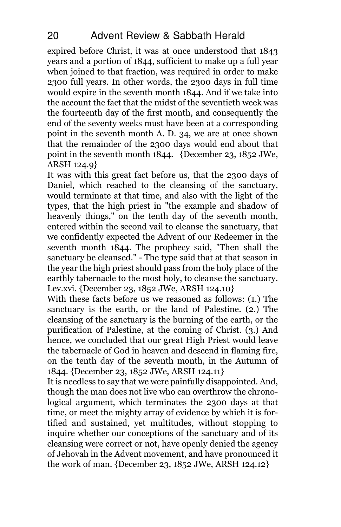expired before Christ, it was at once understood that 1843 years and a portion of 1844, sufficient to make up a full year when joined to that fraction, was required in order to make 2300 full years. In other words, the 2300 days in full time would expire in the seventh month 1844. And if we take into the account the fact that the midst of the seventieth week was the fourteenth day of the first month, and consequently the end of the seventy weeks must have been at a corresponding point in the seventh month A. D. 34, we are at once shown that the remainder of the 2300 days would end about that point in the seventh month 1844. {December 23, 1852 JWe, ARSH 124.9}

It was with this great fact before us, that the 2300 days of Daniel, which reached to the cleansing of the sanctuary, would terminate at that time, and also with the light of the types, that the high priest in "the example and shadow of heavenly things," on the tenth day of the seventh month, entered within the second vail to cleanse the sanctuary, that we confidently expected the Advent of our Redeemer in the seventh month 1844. The prophecy said, "Then shall the sanctuary be cleansed." - The type said that at that season in the year the high priest should pass from the holy place of the earthly tabernacle to the most holy, to cleanse the sanctuary. Lev.xvi. {December 23, 1852 JWe, ARSH 124.10}

With these facts before us we reasoned as follows: (1.) The sanctuary is the earth, or the land of Palestine. (2.) The cleansing of the sanctuary is the burning of the earth, or the purification of Palestine, at the coming of Christ. (3.) And hence, we concluded that our great High Priest would leave the tabernacle of God in heaven and descend in flaming fire, on the tenth day of the seventh month, in the Autumn of 1844. {December 23, 1852 JWe, ARSH 124.11}

It is needless to say that we were painfully disappointed. And, though the man does not live who can overthrow the chronological argument, which terminates the 2300 days at that time, or meet the mighty array of evidence by which it is fortified and sustained, yet multitudes, without stopping to inquire whether our conceptions of the sanctuary and of its cleansing were correct or not, have openly denied the agency of Jehovah in the Advent movement, and have pronounced it the work of man. {December 23, 1852 JWe, ARSH 124.12}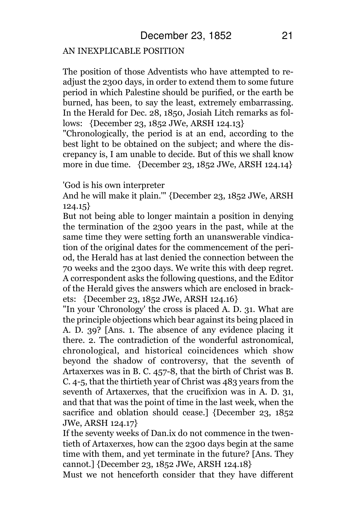#### AN INEXPLICABLE POSITION

The position of those Adventists who have attempted to readjust the 2300 days, in order to extend them to some future period in which Palestine should be purified, or the earth be burned, has been, to say the least, extremely embarrassing. In the Herald for Dec. 28, 1850, Josiah Litch remarks as follows: {December 23, 1852 JWe, ARSH 124.13}

"Chronologically, the period is at an end, according to the best light to be obtained on the subject; and where the discrepancy is, I am unable to decide. But of this we shall know more in due time. {December 23, 1852 JWe, ARSH 124.14}

'God is his own interpreter

And he will make it plain.'" {December 23, 1852 JWe, ARSH 124.15}

But not being able to longer maintain a position in denying the termination of the 2300 years in the past, while at the same time they were setting forth an unanswerable vindication of the original dates for the commencement of the period, the Herald has at last denied the connection between the 70 weeks and the 2300 days. We write this with deep regret. A correspondent asks the following questions, and the Editor of the Herald gives the answers which are enclosed in brackets: {December 23, 1852 JWe, ARSH 124.16}

"In your 'Chronology' the cross is placed A. D. 31. What are the principle objections which bear against its being placed in A. D. 39? [Ans. 1. The absence of any evidence placing it there. 2. The contradiction of the wonderful astronomical, chronological, and historical coincidences which show beyond the shadow of controversy, that the seventh of Artaxerxes was in B. C. 457-8, that the birth of Christ was B. C. 4-5, that the thirtieth year of Christ was 483 years from the seventh of Artaxerxes, that the crucifixion was in A. D. 31, and that that was the point of time in the last week, when the sacrifice and oblation should cease.] {December 23, 1852 JWe, ARSH 124.17}

If the seventy weeks of Dan.ix do not commence in the twentieth of Artaxerxes, how can the 2300 days begin at the same time with them, and yet terminate in the future? [Ans. They cannot.] {December 23, 1852 JWe, ARSH 124.18}

Must we not henceforth consider that they have different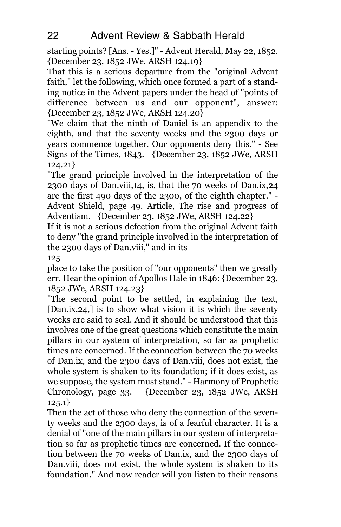starting points? [Ans. - Yes.]" - Advent Herald, May 22, 1852. {December 23, 1852 JWe, ARSH 124.19}

That this is a serious departure from the "original Advent faith," let the following, which once formed a part of a standing notice in the Advent papers under the head of "points of difference between us and our opponent", answer: {December 23, 1852 JWe, ARSH 124.20}

"We claim that the ninth of Daniel is an appendix to the eighth, and that the seventy weeks and the 2300 days or years commence together. Our opponents deny this." - See Signs of the Times, 1843. {December 23, 1852 JWe, ARSH 124.21}

"The grand principle involved in the interpretation of the 2300 days of Dan.viii,14, is, that the 70 weeks of Dan.ix,24 are the first 490 days of the 2300, of the eighth chapter." - Advent Shield, page 49. Article, The rise and progress of Adventism. {December 23, 1852 JWe, ARSH 124.22}

If it is not a serious defection from the original Advent faith to deny "the grand principle involved in the interpretation of the 2300 days of Dan.viii," and in its

125

place to take the position of "our opponents" then we greatly err. Hear the opinion of Apollos Hale in 1846: {December 23, 1852 JWe, ARSH 124.23}

"The second point to be settled, in explaining the text, [Dan.ix, 24,] is to show what vision it is which the seventy weeks are said to seal. And it should be understood that this involves one of the great questions which constitute the main pillars in our system of interpretation, so far as prophetic times are concerned. If the connection between the 70 weeks of Dan.ix, and the 2300 days of Dan.viii, does not exist, the whole system is shaken to its foundation; if it does exist, as we suppose, the system must stand." - Harmony of Prophetic Chronology, page 33. {December 23, 1852 JWe, ARSH 125.1}

Then the act of those who deny the connection of the seventy weeks and the 2300 days, is of a fearful character. It is a denial of "one of the main pillars in our system of interpretation so far as prophetic times are concerned. If the connection between the 70 weeks of Dan.ix, and the 2300 days of Dan.viii, does not exist, the whole system is shaken to its foundation." And now reader will you listen to their reasons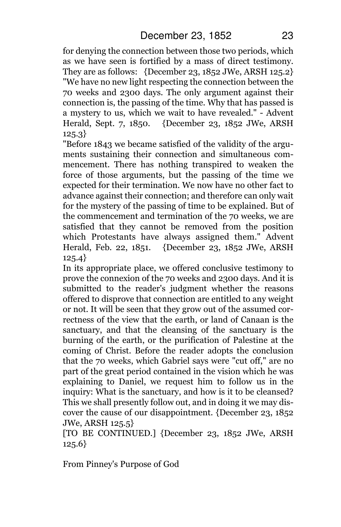for denying the connection between those two periods, which as we have seen is fortified by a mass of direct testimony. They are as follows:  ${December 23, 1852 JWe, ARSH 125.2}$ "We have no new light respecting the connection between the 70 weeks and 2300 days. The only argument against their connection is, the passing of the time. Why that has passed is a mystery to us, which we wait to have revealed." - Advent Herald, Sept. 7, 1850. {December 23, 1852 JWe, ARSH 125.3}

"Before 1843 we became satisfied of the validity of the arguments sustaining their connection and simultaneous commencement. There has nothing transpired to weaken the force of those arguments, but the passing of the time we expected for their termination. We now have no other fact to advance against their connection; and therefore can only wait for the mystery of the passing of time to be explained. But of the commencement and termination of the 70 weeks, we are satisfied that they cannot be removed from the position which Protestants have always assigned them." Advent Herald, Feb. 22, 1851. {December 23, 1852 JWe, ARSH 125.4}

In its appropriate place, we offered conclusive testimony to prove the connexion of the 70 weeks and 2300 days. And it is submitted to the reader's judgment whether the reasons offered to disprove that connection are entitled to any weight or not. It will be seen that they grow out of the assumed correctness of the view that the earth, or land of Canaan is the sanctuary, and that the cleansing of the sanctuary is the burning of the earth, or the purification of Palestine at the coming of Christ. Before the reader adopts the conclusion that the 70 weeks, which Gabriel says were "cut off," are no part of the great period contained in the vision which he was explaining to Daniel, we request him to follow us in the inquiry: What is the sanctuary, and how is it to be cleansed? This we shall presently follow out, and in doing it we may discover the cause of our disappointment. {December 23, 1852 JWe, ARSH 125.5}

[TO BE CONTINUED.] {December 23, 1852 JWe, ARSH 125.6}

From Pinney's Purpose of God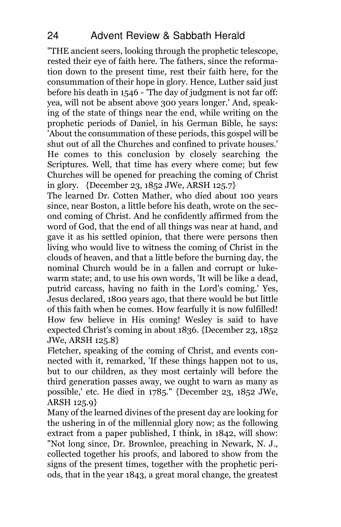"THE ancient seers, looking through the prophetic telescope, rested their eye of faith here. The fathers, since the reformation down to the present time, rest their faith here, for the consummation of their hope in glory. Hence, Luther said just before his death in 1546 - 'The day of judgment is not far off: yea, will not be absent above 300 years longer.' And, speaking of the state of things near the end, while writing on the prophetic periods of Daniel, in his German Bible, he says: 'About the consummation of these periods, this gospel will be shut out of all the Churches and confined to private houses.' He comes to this conclusion by closely searching the Scriptures. Well, that time has every where come; but few Churches will be opened for preaching the coming of Christ in glory. {December 23, 1852 JWe, ARSH 125.7}

The learned Dr. Cotten Mather, who died about 100 years since, near Boston, a little before his death, wrote on the second coming of Christ. And he confidently affirmed from the word of God, that the end of all things was near at hand, and gave it as his settled opinion, that there were persons then living who would live to witness the coming of Christ in the clouds of heaven, and that a little before the burning day, the nominal Church would be in a fallen and corrupt or lukewarm state; and, to use his own words, 'It will be like a dead, putrid carcass, having no faith in the Lord's coming.' Yes, Jesus declared, 1800 years ago, that there would be but little of this faith when he comes. How fearfully it is now fulfilled! How few believe in His coming! Wesley is said to have expected Christ's coming in about 1836. {December 23, 1852 JWe, ARSH 125.8}

Fletcher, speaking of the coming of Christ, and events connected with it, remarked, 'If these things happen not to us, but to our children, as they most certainly will before the third generation passes away, we ought to warn as many as possible,' etc. He died in 1785." {December 23, 1852 JWe, ARSH 125.9}

Many of the learned divines of the present day are looking for the ushering in of the millennial glory now; as the following extract from a paper published, I think, in 1842, will show: "Not long since, Dr. Brownlee, preaching in Newark, N. J., collected together his proofs, and labored to show from the signs of the present times, together with the prophetic periods, that in the year 1843, a great moral change, the greatest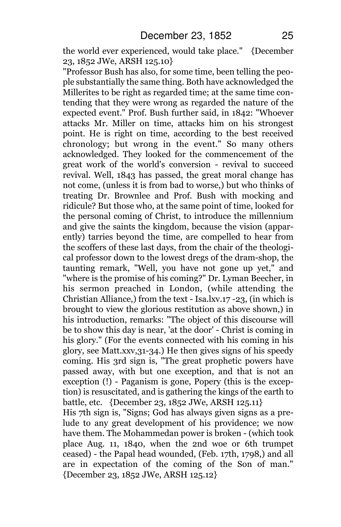the world ever experienced, would take place." {December 23, 1852 JWe, ARSH 125.10}

"Professor Bush has also, for some time, been telling the people substantially the same thing. Both have acknowledged the Millerites to be right as regarded time; at the same time contending that they were wrong as regarded the nature of the expected event." Prof. Bush further said, in 1842: "Whoever attacks Mr. Miller on time, attacks him on his strongest point. He is right on time, according to the best received chronology; but wrong in the event." So many others acknowledged. They looked for the commencement of the great work of the world's conversion - revival to succeed revival. Well, 1843 has passed, the great moral change has not come, (unless it is from bad to worse,) but who thinks of treating Dr. Brownlee and Prof. Bush with mocking and ridicule? But those who, at the same point of time, looked for the personal coming of Christ, to introduce the millennium and give the saints the kingdom, because the vision (apparently) tarries beyond the time, are compelled to hear from the scoffers of these last days, from the chair of the theological professor down to the lowest dregs of the dram-shop, the taunting remark, "Well, you have not gone up yet," and "where is the promise of his coming?" Dr. Lyman Beecher, in his sermon preached in London, (while attending the Christian Alliance,) from the text - Isa.lxv.17 -23, (in which is brought to view the glorious restitution as above shown,) in his introduction, remarks: "The object of this discourse will be to show this day is near, 'at the door' - Christ is coming in his glory." (For the events connected with his coming in his glory, see Matt.xxv,31-34.) He then gives signs of his speedy coming. His 3rd sign is, "The great prophetic powers have passed away, with but one exception, and that is not an exception (!) - Paganism is gone, Popery (this is the exception) is resuscitated, and is gathering the kings of the earth to battle, etc. {December 23, 1852 JWe, ARSH 125.11}

His 7th sign is, "Signs; God has always given signs as a prelude to any great development of his providence; we now have them. The Mohammedan power is broken - (which took place Aug. 11, 1840, when the 2nd woe or 6th trumpet ceased) - the Papal head wounded, (Feb. 17th, 1798,) and all are in expectation of the coming of the Son of man." {December 23, 1852 JWe, ARSH 125.12}